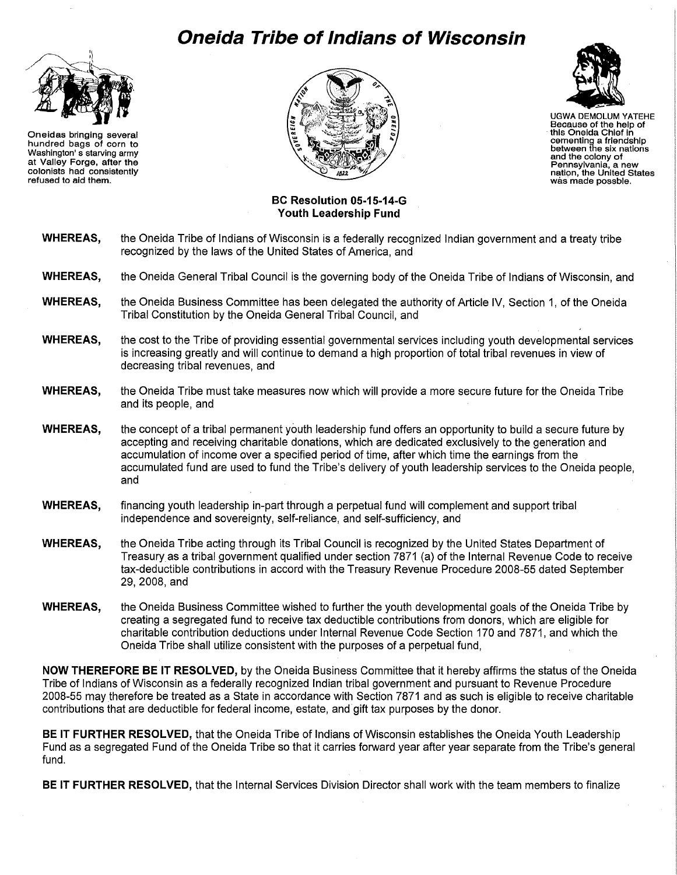## **Oneida Tribe of Indians of Wisconsin**



Oneidas bringing several hundred bags of corn to Washington' s starving army at Valley Forge, after the colonists had consistently refused to aid them.





UGWA DEMOLUM YATEHE Because of the help of this Oneida Chief In cementing a friendship between the six nations and the colony of Pennsylvania, a new nation, the United States was made posable.

## **BC Resolution 05-15-14-G Youth Leadership Fund**

- **WHEREAS,** the Oneida Tribe of Indians of Wisconsin is a federally recognized Indian government and a treaty tribe recognized by the laws of the United States of America, and
- **WHEREAS,** the Oneida General Tribal Council is the governing body of the Oneida Tribe of Indians of Wisconsin, and
- **WHEREAS,** the Oneida Business Committee has been delegated the authority of Article IV, Section 1, of the Oneida Tribal Constitution by the Oneida General Tribal Council, and
- **WHEREAS,** the cost to the Tribe of providing essential governmental services including youth developmental services is increasing greatly and will continue to demand a high proportion of total tribal revenues in view of decreasing tribal revenues, and
- **WHEREAS,** the Oneida Tribe must take measures now which will provide a more secure future for the Oneida Tribe and its people, and
- **WHEREAS,** the concept of a tribal permanent youth leadership fund offers an opportunity to build a secure future by accepting and receiving charitable donations, which are dedicated exclusively to the generation and accumulation of income over a specified period of time, after which time the earnings from the accumulated fund are used to fund the Tribe's delivery of youth leadership services to the Oneida people, and
- **WHEREAS,** financing youth leadership in-part through a perpetual fund will complement and support tribal independence and sovereignty, self-reliance, and self-sufficiency, and
- **WHEREAS,** the Oneida Tribe acting through its Tribal Council is recognized by the United States Department of Treasuryas a tribal government qualified under section 7871 (a) of the Internal Revenue Code to receive tax-deductible contributions in accord with the Treasury Revenue Procedure 2008-55 dated September 29,2008,and
- **WHEREAS,** the Oneida Business Committee wished to further the youth developmental goals of the Oneida Tribe by creating a segregated fund to receive tax deductible contributions from donors, which are eligible for charitable contribution deductions under Internal Revenue Code Section 170 and 7871, and which the Oneida Tribe shall utilize consistent with the purposes of a perpetual fund,

**NOW THEREFORE BE IT RESOLVED,** by the Oneida Business Committee that it hereby affirms the status of the Oneida Tribe of Indians of Wisconsin as a federally recognized Indian tribal government and pursuant to Revenue Procedure 2008-55 may therefore be treated as a State in accordance with Section 7871 and as such is eligible to receive charitable contributions that are deductible for federal income, estate, and gift tax purposes by the donor.

**BE IT FURTHER RESOLVED,** that the Oneida Tribe of Indians of Wisconsin establishes the Oneida Youth Leadership Fund as a segregated Fund of the Oneida Tribe so that it carries forward year after year separate from the Tribe's general fund.

**BE IT FURTHER RESOLVED,** that the Internal Services Division Director shall work with the team members to finalize